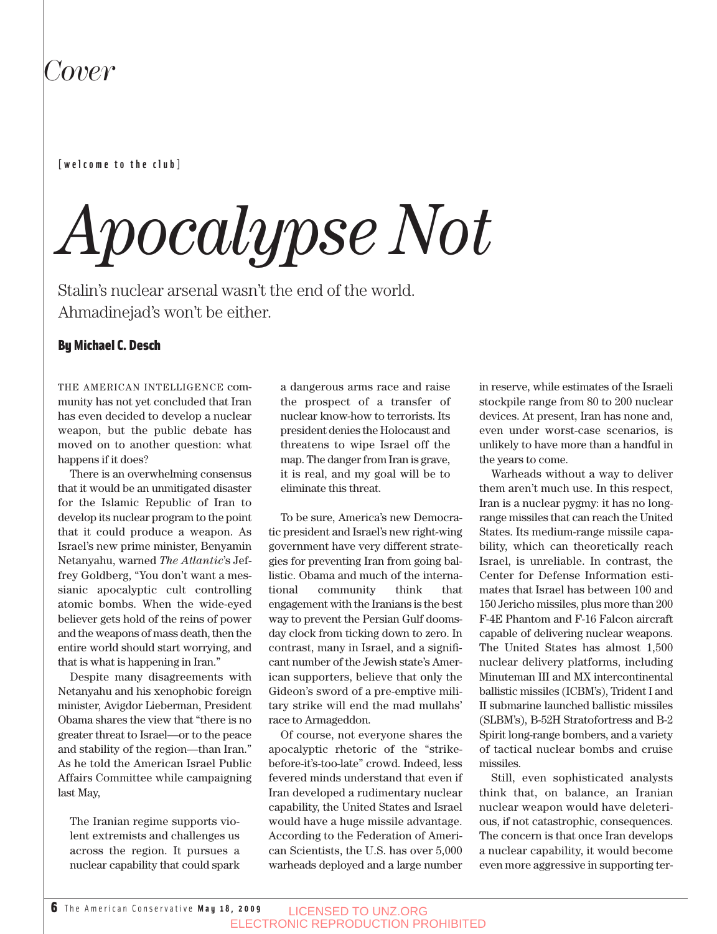## *Cover*

#### **[welcome to the club]**

# *Apocalypse Not*

Stalin's nuclear arsenal wasn't the end of the world. Ahmadinejad's won't be either.

#### By Michael C. Desch

THE AMERICAN INTELLIGENCE community has not yet concluded that Iran has even decided to develop a nuclear weapon, but the public debate has moved on to another question: what happens if it does?

There is an overwhelming consensus that it would be an unmitigated disaster for the Islamic Republic of Iran to develop its nuclear program to the point that it could produce a weapon. As Israel's new prime minister, Benyamin Netanyahu, warned *The Atlantic*'s Jeffrey Goldberg, "You don't want a messianic apocalyptic cult controlling atomic bombs. When the wide-eyed believer gets hold of the reins of power and the weapons of mass death, then the entire world should start worrying, and that is what is happening in Iran."

Despite many disagreements with Netanyahu and his xenophobic foreign minister, Avigdor Lieberman, President Obama shares the view that "there is no greater threat to Israel—or to the peace and stability of the region—than Iran." As he told the American Israel Public Affairs Committee while campaigning last May,

The Iranian regime supports violent extremists and challenges us across the region. It pursues a nuclear capability that could spark

a dangerous arms race and raise the prospect of a transfer of nuclear know-how to terrorists. Its president denies the Holocaust and threatens to wipe Israel off the map. The danger from Iran is grave, it is real, and my goal will be to eliminate this threat.

To be sure, America's new Democratic president and Israel's new right-wing government have very different strategies for preventing Iran from going ballistic. Obama and much of the international community think that engagement with the Iranians is the best way to prevent the Persian Gulf doomsday clock from ticking down to zero. In contrast, many in Israel, and a significant number of the Jewish state's American supporters, believe that only the Gideon's sword of a pre-emptive military strike will end the mad mullahs' race to Armageddon.

Of course, not everyone shares the apocalyptic rhetoric of the "strikebefore-it's-too-late" crowd. Indeed, less fevered minds understand that even if Iran developed a rudimentary nuclear capability, the United States and Israel would have a huge missile advantage. According to the Federation of American Scientists, the U.S. has over 5,000 warheads deployed and a large number

in reserve, while estimates of the Israeli stockpile range from 80 to 200 nuclear devices. At present, Iran has none and, even under worst-case scenarios, is unlikely to have more than a handful in the years to come.

Warheads without a way to deliver them aren't much use. In this respect, Iran is a nuclear pygmy: it has no longrange missiles that can reach the United States. Its medium-range missile capability, which can theoretically reach Israel, is unreliable. In contrast, the Center for Defense Information estimates that Israel has between 100 and 150 Jericho missiles, plus more than 200 F-4E Phantom and F-16 Falcon aircraft capable of delivering nuclear weapons. The United States has almost 1,500 nuclear delivery platforms, including Minuteman III and MX intercontinental ballistic missiles (ICBM's), Trident I and II submarine launched ballistic missiles (SLBM's), B-52H Stratofortress and B-2 Spirit long-range bombers, and a variety of tactical nuclear bombs and cruise missiles.

Still, even sophisticated analysts think that, on balance, an Iranian nuclear weapon would have deleterious, if not catastrophic, consequences. The concern is that once Iran develops a nuclear capability, it would become even more aggressive in supporting ter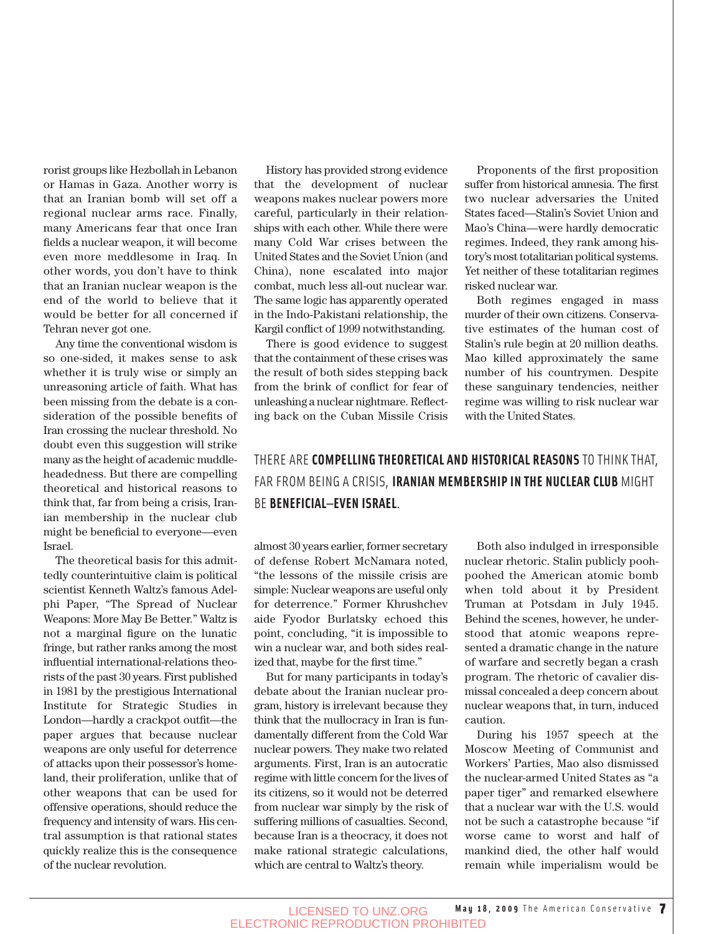rorist groups like Hezbollah in Lebanon or Hamas in Gaza. Another worry is that an Iranian bomb will set off a regional nuclear arms race. Finally, many Americans fear that once Iran fields a nuclear weapon, it will become even more meddlesome in Iraq. In other words, you don't have to think that an Iranian nuclear weapon is the end of the world to believe that it would be better for all concerned if Tehran never got one.

Any time the conventional wisdom is so one-sided, it makes sense to ask whether it is truly wise or simply an unreasoning article of faith. What has been missing from the debate is a consideration of the possible benefits of Iran crossing the nuclear threshold. No doubt even this suggestion will strike many as the height of academic muddleheadedness. But there are compelling theoretical and historical reasons to think that, far from being a crisis, Iranian membership in the nuclear club might be beneficial to everyone—even Israel.

The theoretical basis for this admittedly counterintuitive claim is political scientist Kenneth Waltz's famous Adelphi Paper, "The Spread of Nuclear Weapons: More May Be Better." Waltz is not a marginal figure on the lunatic fringe, but rather ranks among the most influential international-relations theorists of the past 30 years. First published in 1981 by the prestigious International Institute for Strategic Studies in London—hardly a crackpot outfit—the paper argues that because nuclear weapons are only useful for deterrence of attacks upon their possessor's homeland, their proliferation, unlike that of other weapons that can be used for offensive operations, should reduce the frequency and intensity of wars. His central assumption is that rational states quickly realize this is the consequence of the nuclear revolution.

History has provided strong evidence that the development of nuclear weapons makes nuclear powers more careful, particularly in their relationships with each other. While there were many Cold War crises between the United States and the Soviet Union (and China), none escalated into major combat, much less all-out nuclear war. The same logic has apparently operated in the Indo-Pakistani relationship, the Kargil conflict of 1999 notwithstanding.

There is good evidence to suggest that the containment of these crises was the result of both sides stepping back from the brink of conflict for fear of unleashing a nuclear nightmare. Reflecting back on the Cuban Missile Crisis

Proponents of the first proposition suffer from historical amnesia. The first two nuclear adversaries the United States faced—Stalin's Soviet Union and Mao's China—were hardly democratic regimes. Indeed, they rank among history's most totalitarian political systems. Yet neither of these totalitarian regimes risked nuclear war.

Both regimes engaged in mass murder of their own citizens. Conservative estimates of the human cost of Stalin's rule begin at 20 million deaths. Mao killed approximately the same number of his countrymen. Despite these sanguinary tendencies, neither regime was willing to risk nuclear war with the United States.

### THERE ARE **COMPELLING THEORETICAL AND HISTORICAL REASONS** TO THINK THAT, FAR FROM BEING A CRISIS, **IRANIAN MEMBERSHIP IN THE NUCLEAR CLUB** MIGHT BE **BENEFICIAL—EVEN ISRAEL**.

almost 30 years earlier, former secretary of defense Robert McNamara noted, "the lessons of the missile crisis are simple: Nuclear weapons are useful only for deterrence." Former Khrushchev aide Fyodor Burlatsky echoed this point, concluding, "it is impossible to win a nuclear war, and both sides realized that, maybe for the first time."

But for many participants in today's debate about the Iranian nuclear program, history is irrelevant because they think that the mullocracy in Iran is fundamentally different from the Cold War nuclear powers. They make two related arguments. First, Iran is an autocratic regime with little concern for the lives of its citizens, so it would not be deterred from nuclear war simply by the risk of suffering millions of casualties. Second, because Iran is a theocracy, it does not make rational strategic calculations, which are central to Waltz's theory.

Both also indulged in irresponsible nuclear rhetoric. Stalin publicly poohpoohed the American atomic bomb when told about it by President Truman at Potsdam in July 1945. Behind the scenes, however, he understood that atomic weapons represented a dramatic change in the nature of warfare and secretly began a crash program. The rhetoric of cavalier dismissal concealed a deep concern about nuclear weapons that, in turn, induced caution.

During his 1957 speech at the Moscow Meeting of Communist and Workers' Parties, Mao also dismissed the nuclear-armed United States as "a paper tiger" and remarked elsewhere that a nuclear war with the U.S. would not be such a catastrophe because "if worse came to worst and half of mankind died, the other half would remain while imperialism would be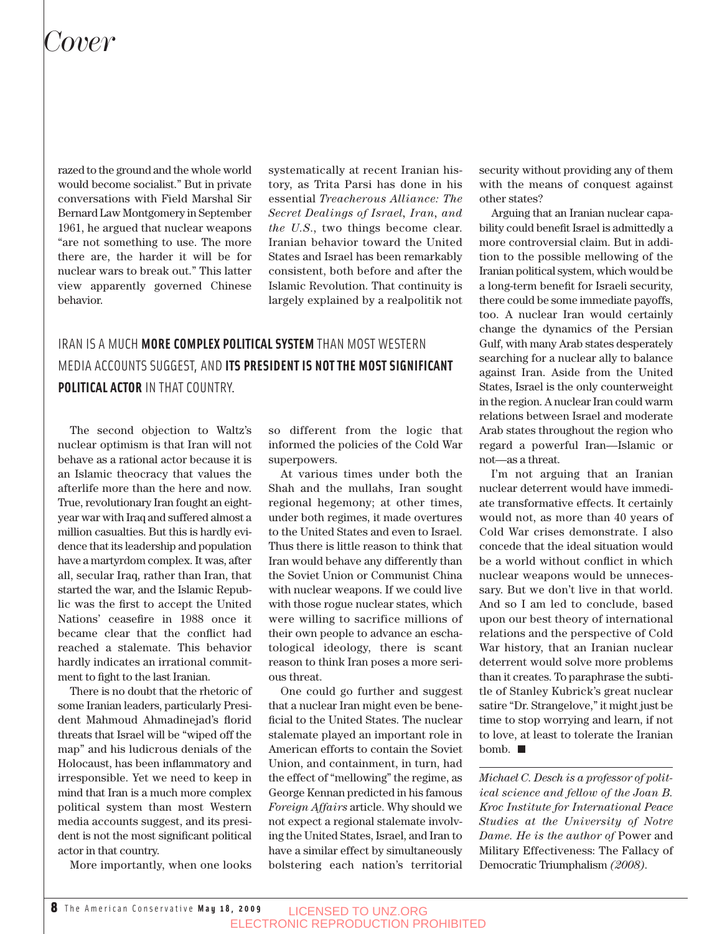## *Cover*

razed to the ground and the whole world would become socialist." But in private conversations with Field Marshal Sir Bernard Law Montgomery in September 1961, he argued that nuclear weapons "are not something to use. The more there are, the harder it will be for nuclear wars to break out." This latter view apparently governed Chinese behavior.

systematically at recent Iranian history, as Trita Parsi has done in his essential *Treacherous Alliance: The Secret Dealings of Israel, Iran, and the U.S*., two things become clear. Iranian behavior toward the United States and Israel has been remarkably consistent, both before and after the Islamic Revolution. That continuity is largely explained by a realpolitik not

## IRAN IS A MUCH **MORE COMPLEX POLITICAL SYSTEM** THAN MOST WESTERN MEDIA ACCOUNTS SUGGEST, AND **ITS PRESIDENT IS NOT THE MOST SIGNIFICANT POLITICAL ACTOR** IN THAT COUNTRY.

The second objection to Waltz's nuclear optimism is that Iran will not behave as a rational actor because it is an Islamic theocracy that values the afterlife more than the here and now. True, revolutionary Iran fought an eightyear war with Iraq and suffered almost a million casualties. But this is hardly evidence that its leadership and population have a martyrdom complex. It was, after all, secular Iraq, rather than Iran, that started the war, and the Islamic Republic was the first to accept the United Nations' ceasefire in 1988 once it became clear that the conflict had reached a stalemate. This behavior hardly indicates an irrational commitment to fight to the last Iranian.

There is no doubt that the rhetoric of some Iranian leaders, particularly President Mahmoud Ahmadinejad's florid threats that Israel will be "wiped off the map" and his ludicrous denials of the Holocaust, has been inflammatory and irresponsible. Yet we need to keep in mind that Iran is a much more complex political system than most Western media accounts suggest, and its president is not the most significant political actor in that country.

More importantly, when one looks

so different from the logic that informed the policies of the Cold War superpowers.

At various times under both the Shah and the mullahs, Iran sought regional hegemony; at other times, under both regimes, it made overtures to the United States and even to Israel. Thus there is little reason to think that Iran would behave any differently than the Soviet Union or Communist China with nuclear weapons. If we could live with those rogue nuclear states, which were willing to sacrifice millions of their own people to advance an eschatological ideology, there is scant reason to think Iran poses a more serious threat.

One could go further and suggest that a nuclear Iran might even be beneficial to the United States. The nuclear stalemate played an important role in American efforts to contain the Soviet Union, and containment, in turn, had the effect of "mellowing" the regime, as George Kennan predicted in his famous *Foreign Affairs* article. Why should we not expect a regional stalemate involving the United States, Israel, and Iran to have a similar effect by simultaneously bolstering each nation's territorial security without providing any of them with the means of conquest against other states?

Arguing that an Iranian nuclear capability could benefit Israel is admittedly a more controversial claim. But in addition to the possible mellowing of the Iranian political system, which would be a long-term benefit for Israeli security, there could be some immediate payoffs, too. A nuclear Iran would certainly change the dynamics of the Persian Gulf, with many Arab states desperately searching for a nuclear ally to balance against Iran. Aside from the United States, Israel is the only counterweight in the region. A nuclear Iran could warm relations between Israel and moderate Arab states throughout the region who regard a powerful Iran—Islamic or not—as a threat.

I'm not arguing that an Iranian nuclear deterrent would have immediate transformative effects. It certainly would not, as more than 40 years of Cold War crises demonstrate. I also concede that the ideal situation would be a world without conflict in which nuclear weapons would be unnecessary. But we don't live in that world. And so I am led to conclude, based upon our best theory of international relations and the perspective of Cold War history, that an Iranian nuclear deterrent would solve more problems than it creates. To paraphrase the subtitle of Stanley Kubrick's great nuclear satire "Dr. Strangelove," it might just be time to stop worrying and learn, if not to love, at least to tolerate the Iranian bomb.

*Michael C. Desch is a professor of political science and fellow of the Joan B. Kroc Institute for International Peace Studies at the University of Notre Dame. He is the author of* Power and Military Effectiveness: The Fallacy of Democratic Triumphalism *(2008).*